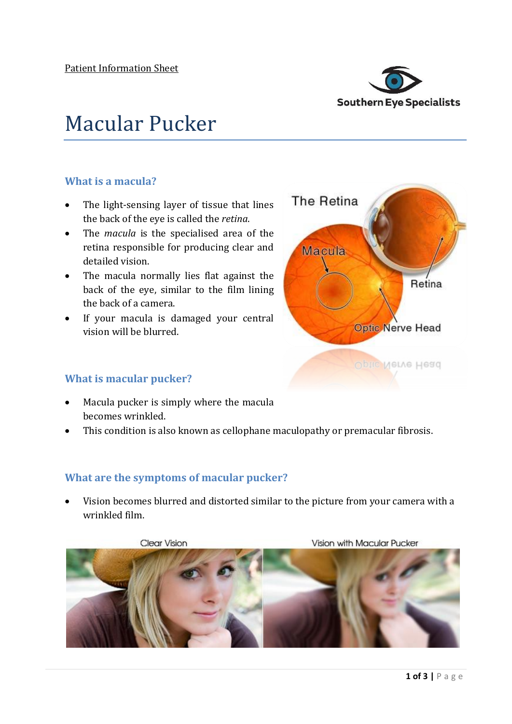

# Macular Pucker

### **What is a macula?**

- The light-sensing layer of tissue that lines the back of the eye is called the *retina*.
- The *macula* is the specialised area of the retina responsible for producing clear and detailed vision.
- The macula normally lies flat against the back of the eye, similar to the film lining the back of a camera.
- If your macula is damaged your central vision will be blurred.



#### **What is macular pucker?**

- Macula pucker is simply where the macula becomes wrinkled.
- This condition is also known as cellophane maculopathy or premacular fibrosis.

## **What are the symptoms of macular pucker?**

 Vision becomes blurred and distorted similar to the picture from your camera with a wrinkled film.

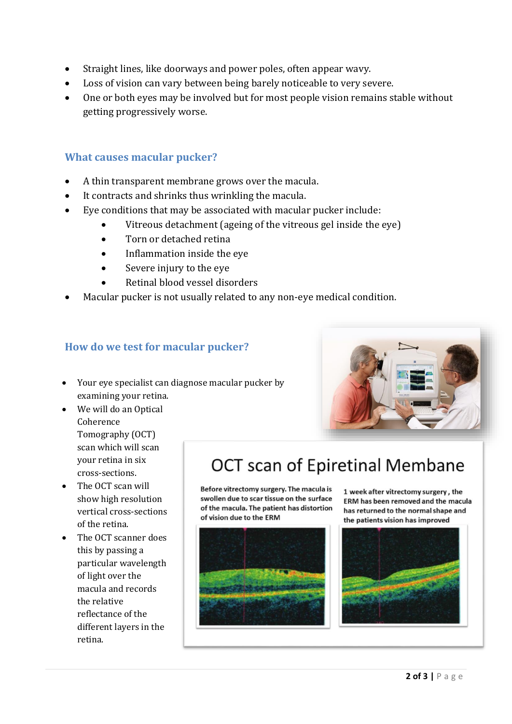- Straight lines, like doorways and power poles, often appear wavy.
- Loss of vision can vary between being barely noticeable to very severe.
- One or both eyes may be involved but for most people vision remains stable without getting progressively worse.

#### **What causes macular pucker?**

- A thin transparent membrane grows over the macula.
- It contracts and shrinks thus wrinkling the macula.
- Eye conditions that may be associated with macular pucker include:
	- Vitreous detachment (ageing of the vitreous gel inside the eye)
	- Torn or detached retina
	- Inflammation inside the eve
	- Severe injury to the eye
	- Retinal blood vessel disorders
- Macular pucker is not usually related to any non-eye medical condition.

#### **How do we test for macular pucker?**

- Your eye specialist can diagnose macular pucker by examining your retina.
- We will do an Optical Coherence Tomography (OCT) scan which will scan your retina in six cross-sections.
- The OCT scan will show high resolution vertical cross-sections of the retina.
- The OCT scanner does this by passing a particular wavelength of light over the macula and records the relative reflectance of the different layers in the retina.

# OCT scan of Epiretinal Membane

Before vitrectomy surgery. The macula is swollen due to scar tissue on the surface of the macula. The patient has distortion of vision due to the ERM



1 week after vitrectomy surgery, the ERM has been removed and the macula has returned to the normal shape and the patients vision has improved